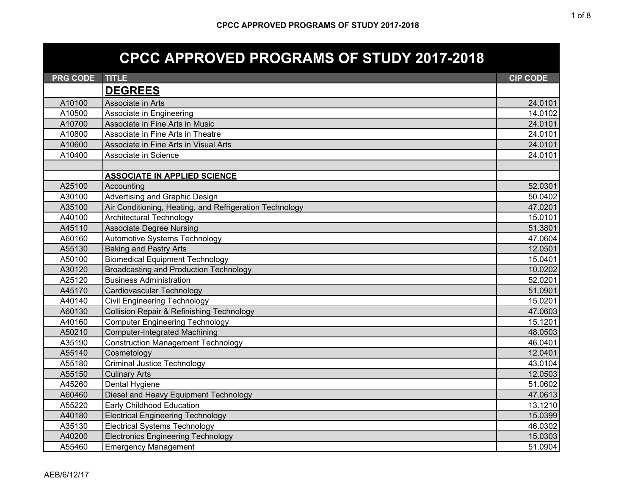## **CPCC APPROVED PROGRAMS OF STUDY 2017-2018**

| <b>PRG CODE</b> | <b>TITLE</b>                                            | <b>CIP CODE</b> |
|-----------------|---------------------------------------------------------|-----------------|
|                 | <b>DEGREES</b>                                          |                 |
| A10100          | Associate in Arts                                       | 24.0101         |
| A10500          | Associate in Engineering                                | 14.0102         |
| A10700          | Associate in Fine Arts in Music                         | 24.0101         |
| A10800          | Associate in Fine Arts in Theatre                       | 24.0101         |
| A10600          | Associate in Fine Arts in Visual Arts                   | 24.0101         |
| A10400          | Associate in Science                                    | 24.0101         |
|                 |                                                         |                 |
|                 | <b>ASSOCIATE IN APPLIED SCIENCE</b>                     |                 |
| A25100          | Accounting                                              | 52.0301         |
| A30100          | Advertising and Graphic Design                          | 50.0402         |
| A35100          | Air Conditioning, Heating, and Refrigeration Technology | 47.0201         |
| A40100          | <b>Architectural Technology</b>                         | 15.0101         |
| A45110          | <b>Associate Degree Nursing</b>                         | 51.3801         |
| A60160          | Automotive Systems Technology                           | 47.0604         |
| A55130          | <b>Baking and Pastry Arts</b>                           | 12.0501         |
| A50100          | <b>Biomedical Equipment Technology</b>                  | 15.0401         |
| A30120          | <b>Broadcasting and Production Technology</b>           | 10.0202         |
| A25120          | <b>Business Administration</b>                          | 52.0201         |
| A45170          | Cardiovascular Technology                               | 51.0901         |
| A40140          | <b>Civil Engineering Technology</b>                     | 15.0201         |
| A60130          | <b>Collision Repair &amp; Refinishing Technology</b>    | 47.0603         |
| A40160          | <b>Computer Engineering Technology</b>                  | 15.1201         |
| A50210          | <b>Computer-Integrated Machining</b>                    | 48.0503         |
| A35190          | <b>Construction Management Technology</b>               | 46.0401         |
| A55140          | Cosmetology                                             | 12.0401         |
| A55180          | <b>Criminal Justice Technology</b>                      | 43.0104         |
| A55150          | <b>Culinary Arts</b>                                    | 12.0503         |
| A45260          | Dental Hygiene                                          | 51.0602         |
| A60460          | Diesel and Heavy Equipment Technology                   | 47.0613         |
| A55220          | Early Childhood Education                               | 13.1210         |
| A40180          | <b>Electrical Engineering Technology</b>                | 15.0399         |
| A35130          | <b>Electrical Systems Technology</b>                    | 46.0302         |
| A40200          | <b>Electronics Engineering Technology</b>               | 15.0303         |
| A55460          | <b>Emergency Management</b>                             | 51.0904         |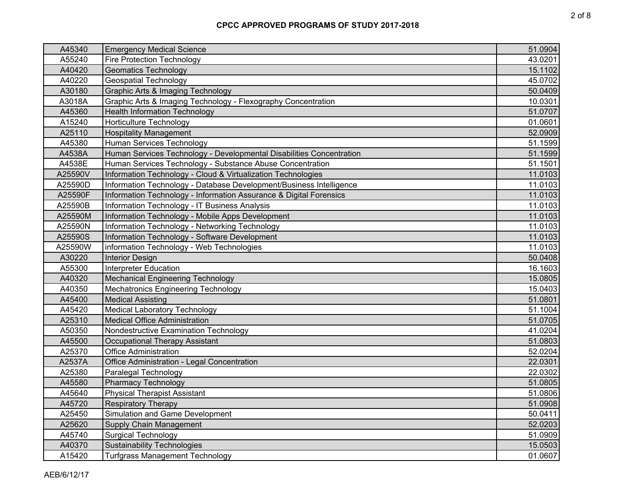| A45340  | <b>Emergency Medical Science</b>                                     | 51.0904 |
|---------|----------------------------------------------------------------------|---------|
| A55240  | <b>Fire Protection Technology</b>                                    | 43.0201 |
| A40420  | <b>Geomatics Technology</b>                                          | 15.1102 |
| A40220  | <b>Geospatial Technology</b>                                         | 45.0702 |
| A30180  | Graphic Arts & Imaging Technology                                    | 50.0409 |
| A3018A  | Graphic Arts & Imaging Technology - Flexography Concentration        | 10.0301 |
| A45360  | <b>Health Information Technology</b>                                 | 51.0707 |
| A15240  | <b>Horticulture Technology</b>                                       | 01.0601 |
| A25110  | <b>Hospitality Management</b>                                        | 52.0909 |
| A45380  | Human Services Technology                                            | 51.1599 |
| A4538A  | Human Services Technology - Developmental Disabilities Concentration | 51.1599 |
| A4538E  | Human Services Technology - Substance Abuse Concentration            | 51.1501 |
| A25590V | Information Technology - Cloud & Virtualization Technologies         | 11.0103 |
| A25590D | Information Technology - Database Development/Business Intelligence  | 11.0103 |
| A25590F | Information Technology - Information Assurance & Digital Forensics   | 11.0103 |
| A25590B | Information Technology - IT Business Analysis                        | 11.0103 |
| A25590M | Information Technology - Mobile Apps Development                     | 11.0103 |
| A25590N | Information Technology - Networking Technology                       | 11.0103 |
| A25590S | Information Technology - Software Development                        | 11.0103 |
| A25590W | information Technology - Web Technologies                            | 11.0103 |
| A30220  | <b>Interior Design</b>                                               | 50.0408 |
| A55300  | <b>Interpreter Education</b>                                         | 16.1603 |
| A40320  | <b>Mechanical Engineering Technology</b>                             | 15.0805 |
| A40350  | <b>Mechatronics Engineering Technology</b>                           | 15.0403 |
| A45400  | <b>Medical Assisting</b>                                             | 51.0801 |
| A45420  | <b>Medical Laboratory Technology</b>                                 | 51.1004 |
| A25310  | <b>Medical Office Administration</b>                                 | 51.0705 |
| A50350  | Nondestructive Examination Technology                                | 41.0204 |
| A45500  | <b>Occupational Therapy Assistant</b>                                | 51.0803 |
| A25370  | <b>Office Administration</b>                                         | 52.0204 |
| A2537A  | Office Administration - Legal Concentration                          | 22.0301 |
| A25380  | Paralegal Technology                                                 | 22.0302 |
| A45580  | <b>Pharmacy Technology</b>                                           | 51.0805 |
| A45640  | <b>Physical Therapist Assistant</b>                                  | 51.0806 |
| A45720  | <b>Respiratory Therapy</b>                                           | 51.0908 |
| A25450  | Simulation and Game Development                                      | 50.0411 |
| A25620  | Supply Chain Management                                              | 52.0203 |
| A45740  | <b>Surgical Technology</b>                                           | 51.0909 |
| A40370  | <b>Sustainability Technologies</b>                                   | 15.0503 |
| A15420  | <b>Turfgrass Management Technology</b>                               | 01.0607 |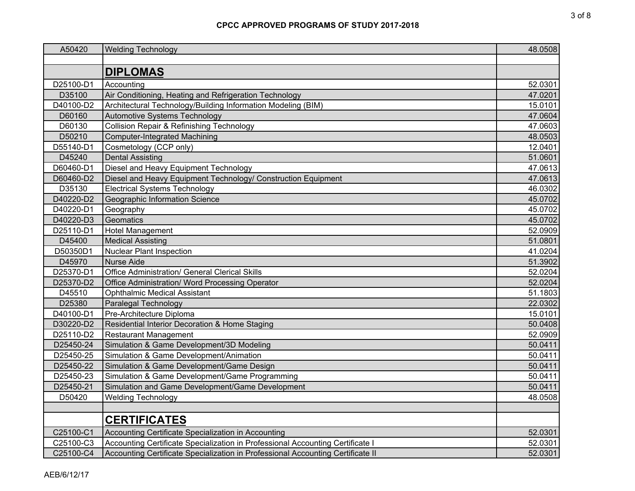| A50420    | <b>Welding Technology</b>                                                       | 48.0508 |
|-----------|---------------------------------------------------------------------------------|---------|
|           |                                                                                 |         |
|           | <b>DIPLOMAS</b>                                                                 |         |
| D25100-D1 | Accounting                                                                      | 52.0301 |
| D35100    | Air Conditioning, Heating and Refrigeration Technology                          | 47.0201 |
| D40100-D2 | Architectural Technology/Building Information Modeling (BIM)                    | 15.0101 |
| D60160    | Automotive Systems Technology                                                   | 47.0604 |
| D60130    | <b>Collision Repair &amp; Refinishing Technology</b>                            | 47.0603 |
| D50210    | <b>Computer-Integrated Machining</b>                                            | 48.0503 |
| D55140-D1 | Cosmetology (CCP only)                                                          | 12.0401 |
| D45240    | <b>Dental Assisting</b>                                                         | 51.0601 |
| D60460-D1 | Diesel and Heavy Equipment Technology                                           | 47.0613 |
| D60460-D2 | Diesel and Heavy Equipment Technology/ Construction Equipment                   | 47.0613 |
| D35130    | <b>Electrical Systems Technology</b>                                            | 46.0302 |
| D40220-D2 | Geographic Information Science                                                  | 45.0702 |
| D40220-D1 | Geography                                                                       | 45.0702 |
| D40220-D3 | Geomatics                                                                       | 45.0702 |
| D25110-D1 | Hotel Management                                                                | 52.0909 |
| D45400    | <b>Medical Assisting</b>                                                        | 51.0801 |
| D50350D1  | <b>Nuclear Plant Inspection</b>                                                 | 41.0204 |
| D45970    | <b>Nurse Aide</b>                                                               | 51.3902 |
| D25370-D1 | Office Administration/ General Clerical Skills                                  | 52.0204 |
| D25370-D2 | Office Administration/ Word Processing Operator                                 | 52.0204 |
| D45510    | <b>Ophthalmic Medical Assistant</b>                                             | 51.1803 |
| D25380    | Paralegal Technology                                                            | 22.0302 |
| D40100-D1 | Pre-Architecture Diploma                                                        | 15.0101 |
| D30220-D2 | Residential Interior Decoration & Home Staging                                  | 50.0408 |
| D25110-D2 | <b>Restaurant Management</b>                                                    | 52.0909 |
| D25450-24 | Simulation & Game Development/3D Modeling                                       | 50.0411 |
| D25450-25 | Simulation & Game Development/Animation                                         | 50.0411 |
| D25450-22 | Simulation & Game Development/Game Design                                       | 50.0411 |
| D25450-23 | Simulation & Game Development/Game Programming                                  | 50.0411 |
| D25450-21 | Simulation and Game Development/Game Development                                | 50.0411 |
| D50420    | <b>Welding Technology</b>                                                       | 48.0508 |
|           |                                                                                 |         |
|           | <b>CERTIFICATES</b>                                                             |         |
| C25100-C1 | Accounting Certificate Specialization in Accounting                             | 52.0301 |
| C25100-C3 | Accounting Certificate Specialization in Professional Accounting Certificate I  | 52.0301 |
| C25100-C4 | Accounting Certificate Specialization in Professional Accounting Certificate II | 52.0301 |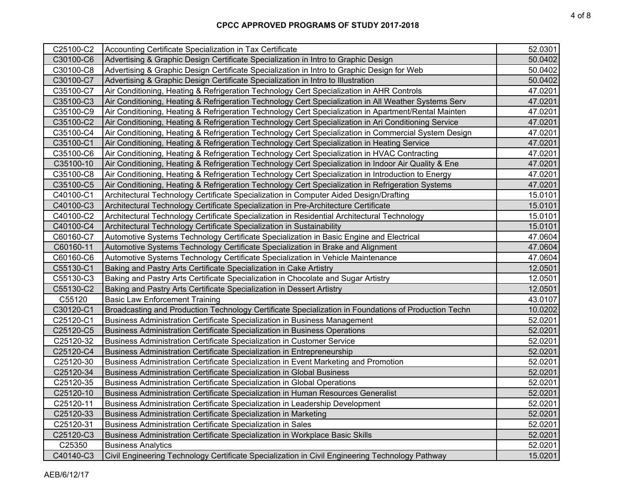| C25100-C2 | Accounting Certificate Specialization in Tax Certificate                                             | 52.0301 |
|-----------|------------------------------------------------------------------------------------------------------|---------|
| C30100-C6 | Advertising & Graphic Design Certificate Specialization in Intro to Graphic Design                   | 50.0402 |
| C30100-C8 | Advertising & Graphic Design Certificate Specialization in Intro to Graphic Design for Web           | 50.0402 |
| C30100-C7 | Advertising & Graphic Design Certificate Specialization in Intro to Illustration                     | 50.0402 |
| C35100-C7 | Air Conditioning, Heating & Refrigeration Technology Cert Specialization in AHR Controls             | 47.0201 |
| C35100-C3 | Air Conditioning, Heating & Refrigeration Technology Cert Specialization in All Weather Systems Serv | 47.0201 |
| C35100-C9 | Air Conditioning, Heating & Refrigeration Technology Cert Specialization in Apartment/Rental Mainten | 47.0201 |
| C35100-C2 | Air Conditioning, Heating & Refrigeration Technology Cert Specialization in Ari Conditioning Service | 47.0201 |
| C35100-C4 | Air Conditioning, Heating & Refrigeration Technology Cert Specialization in Commercial System Design | 47.0201 |
| C35100-C1 | Air Conditioning, Heating & Refrigeration Technology Cert Specialization in Heating Service          | 47.0201 |
| C35100-C6 | Air Conditioning, Heating & Refrigeration Technology Cert Specialization in HVAC Contracting         | 47.0201 |
| C35100-10 | Air Conditioning, Heating & Refrigeration Technology Cert Specialization in Indoor Air Quality & Ene | 47.0201 |
| C35100-C8 | Air Conditioning, Heating & Refrigeration Technology Cert Specialization in Introduction to Energy   | 47.0201 |
| C35100-C5 | Air Conditioning, Heating & Refrigeration Technology Cert Specialization in Refrigeration Systems    | 47.0201 |
| C40100-C1 | Architectural Technology Certificate Specialization in Computer Aided Design/Drafting                | 15.0101 |
| C40100-C3 | Architectural Technology Certificate Specialization in Pre-Architecture Certificate                  | 15.0101 |
| C40100-C2 | Architectural Technology Certificate Specialization in Residential Architectural Technology          | 15.0101 |
| C40100-C4 | Architectural Technology Certificate Specialization in Sustainability                                | 15.0101 |
| C60160-C7 | Automotive Systems Technology Certificate Specialization in Basic Engine and Electrical              | 47.0604 |
| C60160-11 | Automotive Systems Technology Certificate Specialization in Brake and Alignment                      | 47.0604 |
| C60160-C6 | Automotive Systems Technology Certificate Specialization in Vehicle Maintenance                      | 47.0604 |
| C55130-C1 | Baking and Pastry Arts Certificate Specialization in Cake Artistry                                   | 12.0501 |
| C55130-C3 | Baking and Pastry Arts Certificate Specialization in Chocolate and Sugar Artistry                    | 12.0501 |
| C55130-C2 | Baking and Pastry Arts Certificate Specialization in Dessert Artistry                                | 12.0501 |
| C55120    | <b>Basic Law Enforcement Training</b>                                                                | 43.0107 |
| C30120-C1 | Broadcasting and Production Technology Certificate Specialization in Foundations of Production Techn | 10.0202 |
| C25120-C1 | Business Administration Certificate Specialization in Business Management                            | 52.0201 |
| C25120-C5 | Business Administration Certificate Specialization in Business Operations                            | 52.0201 |
| C25120-32 | Business Administration Certificate Specialization in Customer Service                               | 52.0201 |
| C25120-C4 | Business Administration Certificate Specialization in Entrepreneurship                               | 52.0201 |
| C25120-30 | Business Administration Certificate Specialization in Event Marketing and Promotion                  | 52.0201 |
| C25120-34 | Business Administration Certificate Specialization in Global Business                                | 52.0201 |
| C25120-35 | Business Administration Certificate Specialization in Global Operations                              | 52.0201 |
| C25120-10 | Business Administration Certificate Specialization in Human Resources Generalist                     | 52.0201 |
| C25120-11 | Business Administration Certificate Specialization in Leadership Development                         | 52.0201 |
| C25120-33 | Business Administration Certificate Specialization in Marketing                                      | 52.0201 |
| C25120-31 | Business Administration Certificate Specialization in Sales                                          | 52.0201 |
| C25120-C3 | Business Administration Certificate Specialization in Workplace Basic Skills                         | 52.0201 |
| C25350    | <b>Business Analytics</b>                                                                            | 52.0201 |
| C40140-C3 | Civil Engineering Technology Certificate Specialization in Civil Engineering Technology Pathway      | 15.0201 |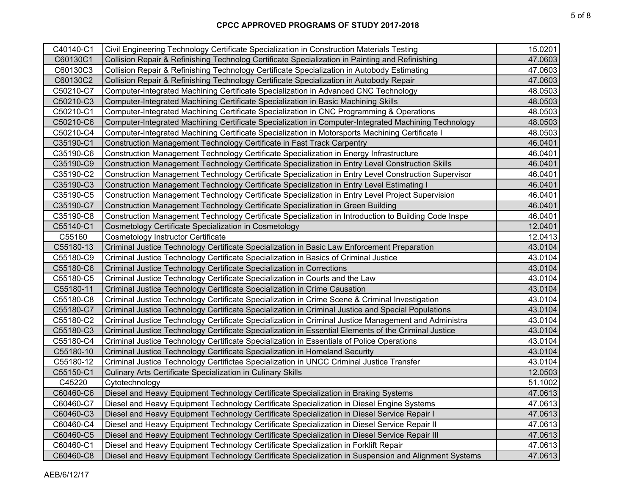| C40140-C1 | Civil Engineering Technology Certificate Specialization in Construction Materials Testing            | 15.0201 |
|-----------|------------------------------------------------------------------------------------------------------|---------|
| C60130C1  | Collision Repair & Refinishing Technolog Certificate Specialization in Painting and Refinishing      | 47.0603 |
| C60130C3  | Collision Repair & Refinishing Technology Certificate Specialization in Autobody Estimating          | 47.0603 |
| C60130C2  | Collision Repair & Refinishing Technology Certificate Specialization in Autobody Repair              | 47.0603 |
| C50210-C7 | Computer-Integrated Machining Certificate Specialization in Advanced CNC Technology                  | 48.0503 |
| C50210-C3 | Computer-Integrated Machining Certificate Specialization in Basic Machining Skills                   | 48.0503 |
| C50210-C1 | Computer-Integrated Machining Certificate Specialization in CNC Programming & Operations             | 48.0503 |
| C50210-C6 | Computer-Integrated Machining Certificate Specialization in Computer-Integrated Machining Technology | 48.0503 |
| C50210-C4 | Computer-Integrated Machining Certificate Specialization in Motorsports Machining Certificate I      | 48.0503 |
| C35190-C1 | Construction Management Technology Certificate in Fast Track Carpentry                               | 46.0401 |
| C35190-C6 | Construction Management Technology Certificate Specialization in Energy Infrastructure               | 46.0401 |
| C35190-C9 | Construction Management Technology Certificate Specialization in Entry Level Construction Skills     | 46.0401 |
| C35190-C2 | Construction Management Technology Certificate Specialization in Entry Level Construction Supervisor | 46.0401 |
| C35190-C3 | Construction Management Technology Certificate Specialization in Entry Level Estimating I            | 46.0401 |
| C35190-C5 | Construction Management Technology Certificate Specialization in Entry Level Project Supervision     | 46.0401 |
| C35190-C7 | Construction Management Technology Certificate Specialization in Green Building                      | 46.0401 |
| C35190-C8 | Construction Management Technology Certificate Specialization in Introduction to Building Code Inspe | 46.0401 |
| C55140-C1 | Cosmetology Certificate Specialization in Cosmetology                                                | 12.0401 |
| C55160    | Cosmetology Instructor Certificate                                                                   | 12.0413 |
| C55180-13 | Criminal Justice Technology Certificate Specialization in Basic Law Enforcement Preparation          | 43.0104 |
| C55180-C9 | Criminal Justice Technology Certificate Specialization in Basics of Criminal Justice                 | 43.0104 |
| C55180-C6 | Criminal Justice Technology Certificate Specialization in Corrections                                | 43.0104 |
| C55180-C5 | Criminal Justice Technology Certificate Specialization in Courts and the Law                         | 43.0104 |
| C55180-11 | Criminal Justice Technology Certificate Specialization in Crime Causation                            | 43.0104 |
| C55180-C8 | Criminal Justice Technology Certificate Specialization in Crime Scene & Criminal Investigation       | 43.0104 |
| C55180-C7 | Criminal Justice Technology Certificate Specialization in Criminal Justice and Special Populations   | 43.0104 |
| C55180-C2 | Criminal Justice Technology Certificate Specialization in Criminal Justice Management and Administra | 43.0104 |
| C55180-C3 | Criminal Justice Technology Certificate Specialization in Essential Elements of the Criminal Justice | 43.0104 |
| C55180-C4 | Criminal Justice Technology Certificate Specialization in Essentials of Police Operations            | 43.0104 |
| C55180-10 | Criminal Justice Technology Certificate Specialization in Homeland Security                          | 43.0104 |
| C55180-12 | Criminal Justice Technology Certifictae Specialization in UNCC Criminal Justice Transfer             | 43.0104 |
| C55150-C1 | <b>Culinary Arts Certificate Specialization in Culinary Skills</b>                                   | 12.0503 |
| C45220    | Cytotechnology                                                                                       | 51.1002 |
| C60460-C6 | Diesel and Heavy Equipment Technology Certificate Specialization in Braking Systems                  | 47.0613 |
| C60460-C7 | Diesel and Heavy Equipment Technology Certificate Specialization in Diesel Engine Systems            | 47.0613 |
| C60460-C3 | Diesel and Heavy Equipment Technology Certificate Specialization in Diesel Service Repair I          | 47.0613 |
| C60460-C4 | Diesel and Heavy Equipment Technology Certificate Specialization in Diesel Service Repair II         | 47.0613 |
| C60460-C5 | Diesel and Heavy Equipment Technology Certificate Specialization in Diesel Service Repair III        | 47.0613 |
| C60460-C1 | Diesel and Heavy Equipment Technology Certificate Specialization in Forklift Repair                  | 47.0613 |
| C60460-C8 | Diesel and Heavy Equipment Technology Certificate Specialization in Suspension and Alignment Systems | 47.0613 |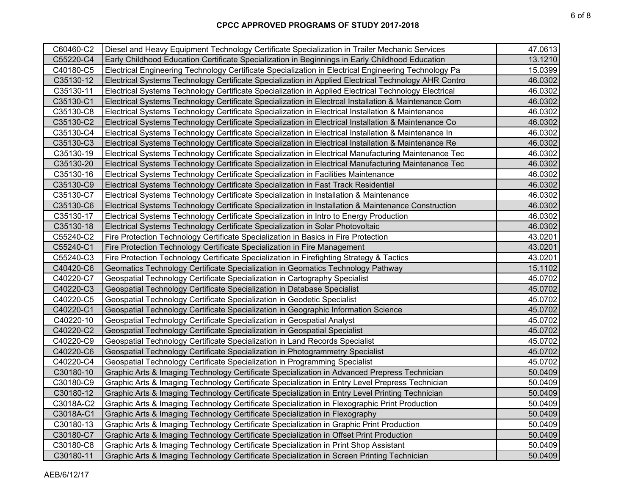| C60460-C2 | Diesel and Heavy Equipment Technology Certificate Specialization in Trailer Mechanic Services        | 47.0613 |
|-----------|------------------------------------------------------------------------------------------------------|---------|
| C55220-C4 | Early Childhood Education Certificate Specialization in Beginnings in Early Childhood Education      | 13.1210 |
| C40180-C5 | Electrical Engineering Technology Certificate Specialization in Electrical Engineering Technology Pa | 15.0399 |
| C35130-12 | Electrical Systems Technology Certificate Specialization in Applied Electrical Technology AHR Contro | 46.0302 |
| C35130-11 | Electrical Systems Technology Certificate Specialization in Applied Electrical Technology Electrical | 46.0302 |
| C35130-C1 | Electrical Systems Technology Certificate Specialization in Electrcal Installation & Maintenance Com | 46.0302 |
| C35130-C8 | Electrical Systems Technology Certificate Specialization in Electrical Installation & Maintenance    | 46.0302 |
| C35130-C2 | Electrical Systems Technology Certificate Specialization in Electrical Installation & Maintenance Co | 46.0302 |
| C35130-C4 | Electrical Systems Technology Certificate Specialization in Electrical Installation & Maintenance In | 46.0302 |
| C35130-C3 | Electrical Systems Technology Certificate Specialization in Electrical Installation & Maintenance Re | 46.0302 |
| C35130-19 | Electrical Systems Technology Certificate Specialization in Electrical Manufacturing Maintenance Tec | 46.0302 |
| C35130-20 | Electrical Systems Technology Certificate Specialization in Electrical Manufacturing Maintenance Tec | 46.0302 |
| C35130-16 | Electrical Systems Technology Certificate Specialization in Facilities Maintenance                   | 46.0302 |
| C35130-C9 | Electrical Systems Technology Certificate Specialization in Fast Track Residential                   | 46.0302 |
| C35130-C7 | Electrical Systems Technology Certificate Specialization in Installation & Maintenance               | 46.0302 |
| C35130-C6 | Electrical Systems Technology Certificate Specialization in Installation & Maintenance Construction  | 46.0302 |
| C35130-17 | Electrical Systems Technology Certificate Specialization in Intro to Energy Production               | 46.0302 |
| C35130-18 | Electrical Systems Technology Certificate Specialization in Solar Photovoltaic                       | 46.0302 |
| C55240-C2 | Fire Protection Technology Certificate Specialization in Basics in Fire Protection                   | 43.0201 |
| C55240-C1 | Fire Protection Technology Certificate Specialization in Fire Management                             | 43.0201 |
| C55240-C3 | Fire Protection Technology Certificate Specialization in Firefighting Strategy & Tactics             | 43.0201 |
| C40420-C6 | Geomatics Technology Certificate Specialization in Geomatics Technology Pathway                      | 15.1102 |
| C40220-C7 | Geospatial Technology Certificate Specialization in Cartography Specialist                           | 45.0702 |
| C40220-C3 | Geospatial Technology Certificate Specialization in Database Specialist                              | 45.0702 |
| C40220-C5 | Geospatial Technology Certificate Specialization in Geodetic Specialist                              | 45.0702 |
| C40220-C1 | Geospatial Technology Certificate Specialization in Geographic Information Science                   | 45.0702 |
| C40220-10 | Geospatial Technology Certificate Specialization in Geospatial Analyst                               | 45.0702 |
| C40220-C2 | Geospatial Technology Certificate Specialization in Geospatial Specialist                            | 45.0702 |
| C40220-C9 | Geospatial Technology Certificate Specialization in Land Records Specialist                          | 45.0702 |
| C40220-C6 | Geospatial Technology Certificate Specialization in Photogrammetry Specialist                        | 45.0702 |
| C40220-C4 | Geospatial Technology Certificate Specialization in Programming Specialist                           | 45.0702 |
| C30180-10 | Graphic Arts & Imaging Technology Certificate Specialization in Advanced Prepress Technician         | 50.0409 |
| C30180-C9 | Graphic Arts & Imaging Technology Certificate Specialization in Entry Level Prepress Technician      | 50.0409 |
| C30180-12 | Graphic Arts & Imaging Technology Certificate Specialization in Entry Level Printing Technician      | 50.0409 |
| C3018A-C2 | Graphic Arts & Imaging Technology Certificate Specialization in Flexographic Print Production        | 50.0409 |
| C3018A-C1 | Graphic Arts & Imaging Technology Certificate Specialization in Flexography                          | 50.0409 |
| C30180-13 | Graphic Arts & Imaging Technology Certificate Specialization in Graphic Print Production             | 50.0409 |
| C30180-C7 | Graphic Arts & Imaging Technology Certificate Specialization in Offset Print Production              | 50.0409 |
| C30180-C8 | Graphic Arts & Imaging Technology Certificate Specialization in Print Shop Assistant                 | 50.0409 |
| C30180-11 | Graphic Arts & Imaging Technology Certificate Specialization in Screen Printing Technician           | 50.0409 |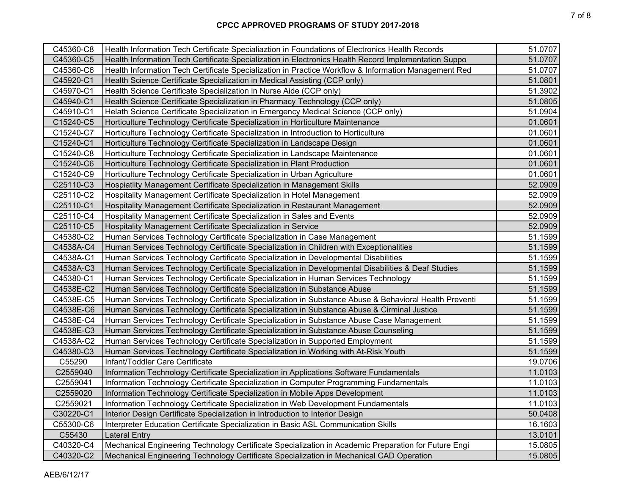| C45360-C8 | Health Information Tech Certificate Specialiaztion in Foundations of Electronics Health Records      | 51.0707 |
|-----------|------------------------------------------------------------------------------------------------------|---------|
| C45360-C5 | Health Information Tech Certificate Specialization in Electronics Health Record Implementation Suppo | 51.0707 |
| C45360-C6 | Health Information Tech Certificate Specialization in Practice Workflow & Information Management Red | 51.0707 |
| C45920-C1 | Health Science Certificate Specialization in Medical Assisting (CCP only)                            | 51.0801 |
| C45970-C1 | Health Science Certificate Specialization in Nurse Aide (CCP only)                                   | 51.3902 |
| C45940-C1 | Health Science Certificate Specialization in Pharmacy Technology (CCP only)                          | 51.0805 |
| C45910-C1 | Helath Science Certificate Specialization in Emergency Medical Science (CCP only)                    | 51.0904 |
| C15240-C5 | Horticulture Technology Certificate Specialization in Horticulture Maintenance                       | 01.0601 |
| C15240-C7 | Horticulture Technology Certificate Specialization in Introduction to Horticulture                   | 01.0601 |
| C15240-C1 | Horticulture Technology Certificate Specialization in Landscape Design                               | 01.0601 |
| C15240-C8 | Horticulture Technology Certificate Specialization in Landscape Maintenance                          | 01.0601 |
| C15240-C6 | Horticulture Technology Certificate Specialization in Plant Production                               | 01.0601 |
| C15240-C9 | Horticulture Technology Certificate Specialization in Urban Agriculture                              | 01.0601 |
| C25110-C3 | Hospiatlity Management Certificate Specialization in Management Skills                               | 52.0909 |
| C25110-C2 | Hospitality Management Certificate Specialization in Hotel Management                                | 52.0909 |
| C25110-C1 | Hospitality Management Certificate Specialization in Restaurant Management                           | 52.0909 |
| C25110-C4 | Hospitality Management Certificate Specialization in Sales and Events                                | 52.0909 |
| C25110-C5 | Hospitality Management Certificate Specialization in Service                                         | 52.0909 |
| C45380-C2 | Human Services Technology Certificate Specialization in Case Management                              | 51.1599 |
| C4538A-C4 | Human Services Technology Certificate Specialization in Children with Exceptionalities               | 51.1599 |
| C4538A-C1 | Human Services Technology Certificate Specialization in Developmental Disabilities                   | 51.1599 |
| C4538A-C3 | Human Services Technology Certificate Specialization in Developmental Disabilities & Deaf Studies    | 51.1599 |
| C45380-C1 | Human Services Technology Certificate Specialization in Human Services Technology                    | 51.1599 |
| C4538E-C2 | Human Services Technology Certificate Specialization in Substance Abuse                              | 51.1599 |
| C4538E-C5 | Human Services Technology Certificate Specialization in Substance Abuse & Behavioral Health Preventi | 51.1599 |
| C4538E-C6 | Human Services Technology Certificate Specialization in Substance Abuse & Cirminal Justice           | 51.1599 |
| C4538E-C4 | Human Services Technology Certificate Specialization in Substance Abuse Case Management              | 51.1599 |
| C4538E-C3 | Human Services Technology Certificate Specialization in Substance Abuse Counseling                   | 51.1599 |
| C4538A-C2 | Human Services Technology Certificate Specialization in Supported Employment                         | 51.1599 |
| C45380-C3 | Human Services Technology Certificate Specialization in Working with At-Risk Youth                   | 51.1599 |
| C55290    | Infant/Toddler Care Certificate                                                                      | 19.0706 |
| C2559040  | Information Technology Certificate Specialization in Applications Software Fundamentals              | 11.0103 |
| C2559041  | Information Technology Certificate Specialization in Computer Programming Fundamentals               | 11.0103 |
| C2559020  | Information Technology Certificate Specialization in Mobile Apps Development                         | 11.0103 |
| C2559021  | Information Technology Certificate Specialization in Web Development Fundamentals                    | 11.0103 |
| C30220-C1 | Interior Design Certificate Specialization in Introduction to Interior Design                        | 50.0408 |
| C55300-C6 | Interpreter Education Certificate Specialization in Basic ASL Communication Skills                   | 16.1603 |
| C55430    | <b>Lateral Entry</b>                                                                                 | 13.0101 |
| C40320-C4 | Mechanical Engineering Technology Certificate Specialization in Academic Preparation for Future Engi | 15.0805 |
| C40320-C2 | Mechanical Engineering Technology Certificate Specialization in Mechanical CAD Operation             | 15.0805 |